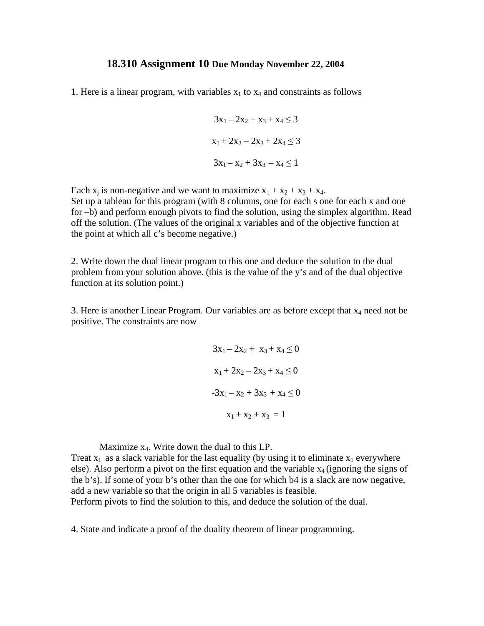## **18.310 Assignment 10 Due Monday November 22, 2004**

1. Here is a linear program, with variables  $x_1$  to  $x_4$  and constraints as follows

$$
3x_1 - 2x_2 + x_3 + x_4 \le 3
$$
  

$$
x_1 + 2x_2 - 2x_3 + 2x_4 \le 3
$$
  

$$
3x_1 - x_2 + 3x_3 - x_4 \le 1
$$

Each  $x_i$  is non-negative and we want to maximize  $x_1 + x_2 + x_3 + x_4$ . Set up a tableau for this program (with 8 columns, one for each s one for each x and one for –b) and perform enough pivots to find the solution, using the simplex algorithm. Read off the solution. (The values of the original x variables and of the objective function at the point at which all c's become negative.)

2. Write down the dual linear program to this one and deduce the solution to the dual problem from your solution above. (this is the value of the y's and of the dual objective function at its solution point.)

3. Here is another Linear Program. Our variables are as before except that  $x_4$  need not be positive. The constraints are now

$$
3x_1 - 2x_2 + x_3 + x_4 \le 0
$$
  

$$
x_1 + 2x_2 - 2x_3 + x_4 \le 0
$$
  

$$
-3x_1 - x_2 + 3x_3 + x_4 \le 0
$$
  

$$
x_1 + x_2 + x_3 = 1
$$

Maximize  $x_4$ . Write down the dual to this LP.

Treat  $x_1$  as a slack variable for the last equality (by using it to eliminate  $x_1$  everywhere else). Also perform a pivot on the first equation and the variable  $x_4$  (ignoring the signs of the b's). If some of your b's other than the one for which b4 is a slack are now negative, add a new variable so that the origin in all 5 variables is feasible. Perform pivots to find the solution to this, and deduce the solution of the dual.

4. State and indicate a proof of the duality theorem of linear programming.